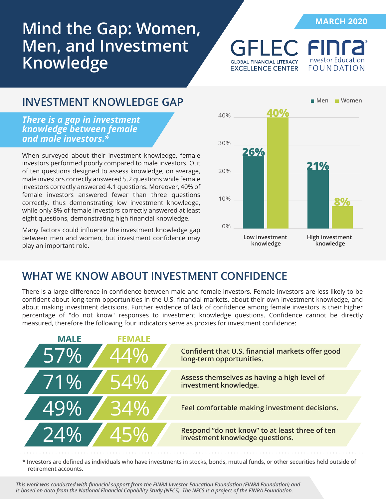# **Mind the Gap: Women, Men, and Investment Knowledge**

**MARCH 2020**

Investor Education

FOUNDATION

### **INVESTMENT KNOWLEDGE GAP**

*There is a gap in investment knowledge between female and male investors.\**

When surveyed about their investment knowledge, female investors performed poorly compared to male investors. Out of ten questions designed to assess knowledge, on average, male investors correctly answered 5.2 questions while female investors correctly answered 4.1 questions. Moreover, 40% of female investors answered fewer than three questions correctly, thus demonstrating low investment knowledge, while only 8% of female investors correctly answered at least eight questions, demonstrating high financial knowledge.

Many factors could influence the investment knowledge gap between men and women, but investment confidence may play an important role.



**GFLEC FI** 

**GLOBAL FINANCIAL LITERACY** 

**EXCELLENCE CENTER** 

### **WHAT WE KNOW ABOUT INVESTMENT CONFIDENCE**

There is a large difference in confidence between male and female investors. Female investors are less likely to be confident about long-term opportunities in the U.S. financial markets, about their own investment knowledge, and about making investment decisions. Further evidence of lack of confidence among female investors is their higher percentage of "do not know" responses to investment knowledge questions. Confidence cannot be directly measured, therefore the following four indicators serve as proxies for investment confidence:



**\* Investors are defined as individuals who have investments in stocks, bonds, mutual funds, or other securities held outside of retirement accounts.** 

*This work was conducted with financial support from the FINRA Investor Education Foundation (FINRA Foundation) and is based on data from the National Financial Capability Study (NFCS). The NFCS is a project of the FINRA Foundation.*